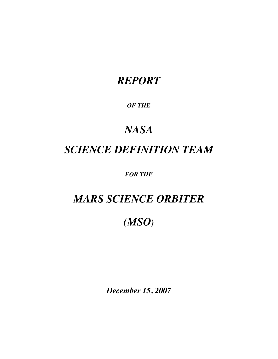## *REPORT*

### *OF THE*

# *NASA SCIENCE DEFINITION TEAM*

*FOR THE*

## *MARS SCIENCE ORBITER*

*(MSO)*

*December 15, 2007*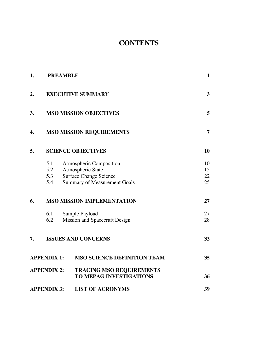### **CONTENTS**

| 1.                 |                    | <b>PREAMBLE</b>                                                      | $\mathbf{1}$   |
|--------------------|--------------------|----------------------------------------------------------------------|----------------|
| 2.                 |                    | <b>EXECUTIVE SUMMARY</b>                                             | $\mathbf{3}$   |
| 3.                 |                    | <b>MSO MISSION OBJECTIVES</b>                                        | 5              |
| 4.                 |                    | <b>MSO MISSION REQUIREMENTS</b>                                      | $\overline{7}$ |
| 5.                 |                    | <b>SCIENCE OBJECTIVES</b>                                            | 10             |
|                    | 5.1<br>5.2         | <b>Atmospheric Composition</b><br>Atmospheric State                  | 10<br>15       |
|                    | 5.3<br>5.4         | <b>Surface Change Science</b><br><b>Summary of Measurement Goals</b> | 22<br>25       |
| 6.                 |                    | <b>MSO MISSION IMPLEMENTATION</b>                                    | 27             |
|                    | 6.1<br>6.2         | Sample Payload<br>Mission and Spacecraft Design                      | 27<br>28       |
| 7.                 |                    | <b>ISSUES AND CONCERNS</b>                                           | 33             |
|                    | <b>APPENDIX 1:</b> | <b>MSO SCIENCE DEFINITION TEAM</b>                                   | 35             |
|                    | <b>APPENDIX 2:</b> | <b>TRACING MSO REQUIREMENTS</b><br><b>TO MEPAG INVESTIGATIONS</b>    | 36             |
| <b>APPENDIX 3:</b> |                    | <b>LIST OF ACRONYMS</b>                                              | 39             |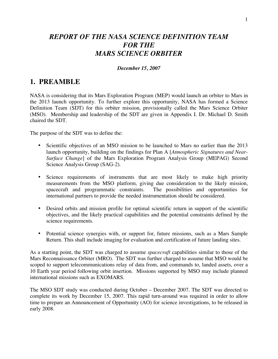### *REPORT OF THE NASA SCIENCE DEFINITION TEAM FOR THE MARS SCIENCE ORBITER*

#### *December 15, 2007*

### **1. PREAMBLE**

NASA is considering that its Mars Exploration Program (MEP) would launch an orbiter to Mars in the 2013 launch opportunity. To further explore this opportunity, NASA has formed a Science Definition Team (SDT) for this orbiter mission, provisionally called the Mars Science Orbiter (MSO). Membership and leadership of the SDT are given in Appendix I. Dr. Michael D. Smith chaired the SDT.

The purpose of the SDT was to define the:

- Scientific objectives of an MSO mission to be launched to Mars no earlier than the 2013 launch opportunity, building on the findings for Plan A [*Atmospheric Signatures and Near-Surface Change*] of the Mars Exploration Program Analysis Group (MEPAG) Second Science Analysis Group (SAG-2).
- Science requirements of instruments that are most likely to make high priority measurements from the MSO platform, giving due consideration to the likely mission, spacecraft and programmatic constraints. The possibilities and opportunities for international partners to provide the needed instrumentation should be considered.
- Desired orbits and mission profile for optimal scientific return in support of the scientific objectives, and the likely practical capabilities and the potential constraints defined by the science requirements.
- Potential science synergies with, or support for, future missions, such as a Mars Sample Return. This shall include imaging for evaluation and certification of future landing sites.

As a starting point, the SDT was charged to assume *spacecraft* capabilities similar to those of the Mars Reconnaissance Orbiter (MRO). The SDT was further charged to assume that MSO would be scoped to support telecommunications relay of data from, and commands to, landed assets, over a 10 Earth year period following orbit insertion. Missions supported by MSO may include planned international missions such as EXOMARS.

The MSO SDT study was conducted during October – December 2007. The SDT was directed to complete its work by December 15, 2007. This rapid turn-around was required in order to allow time to prepare an Announcement of Opportunity (AO) for science investigations, to be released in early 2008.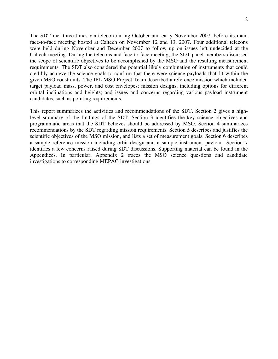The SDT met three times via telecon during October and early November 2007, before its main face-to-face meeting hosted at Caltech on November 12 and 13, 2007. Four additional telecons were held during November and December 2007 to follow up on issues left undecided at the Caltech meeting. During the telecons and face-to-face meeting, the SDT panel members discussed the scope of scientific objectives to be accomplished by the MSO and the resulting measurement requirements. The SDT also considered the potential likely combination of instruments that could credibly achieve the science goals to confirm that there were science payloads that fit within the given MSO constraints. The JPL MSO Project Team described a reference mission which included target payload mass, power, and cost envelopes; mission designs, including options for different orbital inclinations and heights; and issues and concerns regarding various payload instrument candidates, such as pointing requirements.

This report summarizes the activities and recommendations of the SDT. Section 2 gives a highlevel summary of the findings of the SDT. Section 3 identifies the key science objectives and programmatic areas that the SDT believes should be addressed by MSO. Section 4 summarizes recommendations by the SDT regarding mission requirements. Section 5 describes and justifies the scientific objectives of the MSO mission, and lists a set of measurement goals. Section 6 describes a sample reference mission including orbit design and a sample instrument payload. Section 7 identifies a few concerns raised during SDT discussions. Supporting material can be found in the Appendices. In particular, Appendix 2 traces the MSO science questions and candidate investigations to corresponding MEPAG investigations.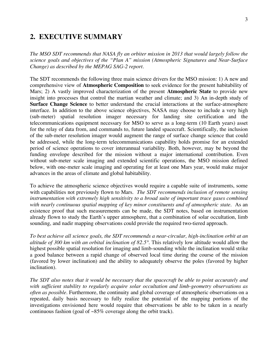### **2. EXECUTIVE SUMMARY**

*The MSO SDT recommends that NASA fly an orbiter mission in 2013 that would largely follow the science goals and objectives of the "Plan A" mission (Atmospheric Signatures and Near-Surface Change) as described by the MEPAG SAG-2 report.*

The SDT recommends the following three main science drivers for the MSO mission: 1) A new and comprehensive view of **Atmospheric Composition** to seek evidence for the present habitability of Mars; 2) A vastly improved characterization of the present **Atmospheric State** to provide new insight into processes that control the martian weather and climate; and 3) An in-depth study of **Surface Change Science** to better understand the crucial interactions at the surface-atmosphere interface. In addition to the above science objectives, NASA may choose to include a very high (sub-meter) spatial resolution imager necessary for landing site certification and the telecommunications equipment necessary for MSO to serve as a long-term (10 Earth years) asset for the relay of data from, and commands to, future landed spacecraft. Scientifically, the inclusion of the sub-meter resolution imager would augment the range of surface change science that could be addressed, while the long-term telecommunications capability holds promise for an extended period of science operations to cover interannual variability. Both, however, may be beyond the funding envelope described for the mission without a major international contribution. Even without sub-meter scale imaging and extended scientific operations, the MSO mission defined below, with one-meter scale imaging and operating for at least one Mars year, would make major advances in the areas of climate and global habitability.

To achieve the atmospheric science objectives would require a capable suite of instruments, some with capabilities not previously flown to Mars. *The SDT recommends inclusion of remote sensing instrumentation with extremely high sensitivity to a broad suite of important trace gases combined with nearly continuous spatial mapping of key minor constituents and of atmospheric state.* As an existence proof that such measurements can be made, the SDT notes, based on instrumentation already flown to study the Earth's upper atmosphere, that a combination of solar occultation, limb sounding, and nadir mapping observations could provide the required two-tiered approach.

*To best achieve all science goals, the SDT recommends a near-circular, high-inclination orbit at an altitude of 300 km with an orbital inclination of 82.5°.* This relatively low altitude would allow the highest possible spatial resolution for imaging and limb-sounding while the inclination would strike a good balance between a rapid change of observed local time during the course of the mission (favored by lower inclination) and the ability to adequately observe the poles (favored by higher inclination).

*The SDT also notes that it would be necessary that the spacecraft be able to point accurately and with sufficient stability to regularly acquire solar occultation and limb-geometry observations as often as possible.* Furthermore, the continuity and global coverage of atmospheric observations on a repeated, daily basis necessary to fully realize the potential of the mapping portions of the investigations envisioned here would require that observations be able to be taken in a nearly continuous fashion (goal of  $\sim 85\%$  coverage along the orbit track).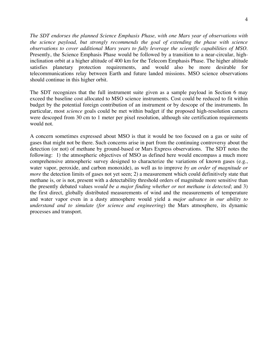*The SDT endorses the planned Science Emphasis Phase, with one Mars year of observations with the science payload, but strongly recommends the goal of extending the phase with science observations to cover additional Mars years to fully leverage the scientific capabilities of MSO.* Presently, the Science Emphasis Phase would be followed by a transition to a near-circular, highinclination orbit at a higher altitude of 400 km for the Telecom Emphasis Phase. The higher altitude satisfies planetary protection requirements, and would also be more desirable for telecommunications relay between Earth and future landed missions. MSO science observations should continue in this higher orbit.

The SDT recognizes that the full instrument suite given as a sample payload in Section 6 may exceed the baseline cost allocated to MSO science instruments. Cost could be reduced to fit within budget by the potential foreign contribution of an instrument or by descope of the instruments. In particular, most *science* goals could be met within budget if the proposed high-resolution camera were descoped from 30 cm to 1 meter per pixel resolution, although site certification requirements would not.

A concern sometimes expressed about MSO is that it would be too focused on a gas or suite of gases that might not be there. Such concerns arise in part from the continuing controversy about the detection (or not) of methane by ground-based or Mars Express observations. The SDT notes the following: 1) the atmospheric objectives of MSO as defined here would encompass a much more comprehensive atmospheric survey designed to characterize the variations of known gases (e.g., water vapor, peroxide, and carbon monoxide), as well as to improve *by an order of magnitude or more* the detection limits of gases not yet seen; 2) a measurement which could definitively state that methane is, or is not, present with a detectability threshold orders of magnitude more sensitive than the presently debated values *would be a major finding whether or not methane is detected*; and 3) the first direct, globally distributed measurements of wind and the measurements of temperature and water vapor even in a dusty atmosphere would yield a *major advance in our ability to understand and to simulate (for science and engineering*) the Mars atmosphere, its dynamic processes and transport.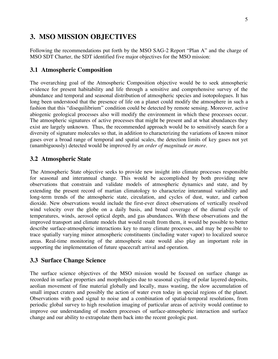### **3. MSO MISSION OBJECTIVES**

Following the recommendations put forth by the MSO SAG-2 Report "Plan A" and the charge of MSO SDT Charter, the SDT identified five major objectives for the MSO mission:

### **3.1 Atmospheric Composition**

The overarching goal of the Atmospheric Composition objective would be to seek atmospheric evidence for present habitability and life through a sensitive and comprehensive survey of the abundance and temporal and seasonal distribution of atmospheric species and isotopologues. It has long been understood that the presence of life on a planet could modify the atmosphere in such a fashion that this "disequilibrium" condition could be detected by remote sensing. Moreover, active abiogenic geological processes also will modify the environment in which these processes occur. The atmospheric signatures of active processes that might be present and at what abundances they exist are largely unknown. Thus, the recommended approach would be to sensitively search for a diversity of signature molecules so that, in addition to characterizing the variations of known minor gases over a broad range of temporal and spatial scales, the detection limits of key gases not yet (unambiguously) detected would be improved *by an order of magnitude or more*.

### **3.2 Atmospheric State**

The Atmospheric State objective seeks to provide new insight into climate processes responsible for seasonal and interannual change. This would be accomplished by both providing new observations that constrain and validate models of atmospheric dynamics and state, and by extending the present record of martian climatology to characterize interannual variability and long-term trends of the atmospheric state, circulation, and cycles of dust, water, and carbon dioxide. New observations would include the first-ever direct observations of vertically resolved wind velocity over the globe on a daily basis, and broad coverage of the diurnal cycle of temperatures, winds, aerosol optical depth, and gas abundances. With these observations and the improved transport and climate models that would result from them, it would be possible to better describe surface-atmospheric interactions key to many climate processes, and may be possible to trace spatially varying minor atmospheric constituents (including water vapor) to localized source areas. Real-time monitoring of the atmospheric state would also play an important role in supporting the implementation of future spacecraft arrival and operation.

### **3.3 Surface Change Science**

The surface science objectives of the MSO mission would be focused on surface change as recorded in surface properties and morphologies due to seasonal cycling of polar layered deposits, aeolian movement of fine material globally and locally, mass wasting, the slow accumulation of small impact craters and possibly the action of water even today in special regions of the planet. Observations with good signal to noise and a combination of spatial-temporal resolutions, from periodic global survey to high resolution imaging of particular areas of activity would continue to improve our understanding of modern processes of surface-atmospheric interaction and surface change and our ability to extrapolate them back into the recent geologic past.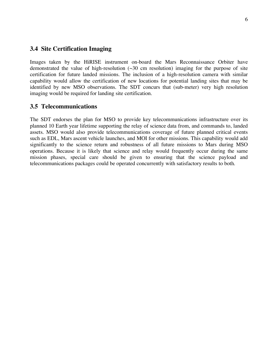#### **3.4 Site Certification Imaging**

Images taken by the HiRISE instrument on-board the Mars Reconnaissance Orbiter have demonstrated the value of high-resolution  $(\sim 30 \text{ cm}$  resolution) imaging for the purpose of site certification for future landed missions. The inclusion of a high-resolution camera with similar capability would allow the certification of new locations for potential landing sites that may be identified by new MSO observations. The SDT concurs that (sub-meter) very high resolution imaging would be required for landing site certification.

#### **3.5 Telecommunications**

The SDT endorses the plan for MSO to provide key telecommunications infrastructure over its planned 10 Earth year lifetime supporting the relay of science data from, and commands to, landed assets. MSO would also provide telecommunications coverage of future planned critical events such as EDL, Mars ascent vehicle launches, and MOI for other missions. This capability would add significantly to the science return and robustness of all future missions to Mars during MSO operations. Because it is likely that science and relay would frequently occur during the same mission phases, special care should be given to ensuring that the science payload and telecommunications packages could be operated concurrently with satisfactory results to both.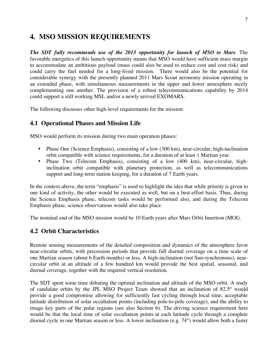### **4. MSO MISSION REQUIREMENTS**

*The SDT fully recommends use of the 2013 opportunity for launch of MSO to Mars*. The favorable energetics of this launch opportunity means that MSO would have sufficient mass margin to accommodate an ambitious payload (mass could also be used to reduce cost and cost risk) and could carry the fuel needed for a long-lived mission. There would also be the potential for considerable synergy with the presently planned 2011 Mars Scout aeronomy mission operating in an extended phase, with simultaneous measurements in the upper and lower atmosphere nicely complementing one another. The provision of a robust telecommunications capability by 2014 could support a still working MSL and/or a newly arrived EXOMARS.

The following discusses other high-level requirements for the mission:

### **4.1 Operational Phases and Mission Life**

MSO would perform its mission during two main operation phases:

- Phase One (Science Emphasis), consisting of a low (300 km), near-circular, high-inclination orbit compatible with science requirements, for a duration of at least 1 Martian year.
- Phase Two (Telecom Emphasis), consisting of a low (400 km), near-circular, highinclination orbit compatible with planetary protection, as well as telecommunications support and long-term station keeping, for a duration of 7 Earth years.

In the context above, the term "emphasis" is used to highlight the idea that while priority is given to one kind of activity, the other would be executed as well, but on a best-effort basis. Thus, during the Science Emphasis phase, telecom tasks would be performed also, and during the Telecom Emphasis phase, science observations would also take place.

The nominal end of the MSO mission would be 10 Earth years after Mars Orbit Insertion (MOI).

### **4.2 Orbit Characteristics**

Remote sensing measurements of the detailed composition and dynamics of the atmosphere favor near-circular orbits, with precession periods that provide full diurnal coverage on a time scale of one Martian season (about 6 Earth months) or less. A high-inclination (not Sun-synchronous), nearcircular orbit at an altitude of a few hundred km would provide the best spatial, seasonal, and diurnal coverage, together with the required vertical resolution.

The SDT spent some time debating the optimal inclination and altitude of the MSO orbit. A study of candidate orbits by the JPL MSO Project Team showed that an inclination of 82.5° would provide a good compromise allowing for sufficiently fast cycling through local time, acceptable latitude distribution of solar occultation points (including pole-to-pole coverage), and the ability to image key parts of the polar regions (see also Section 6). The driving science requirement here would be that the local time of solar occultation points at each latitude cycle through a complete diurnal cycle in one Martian season or less. A lower inclination (e.g. 74°) would allow both a faster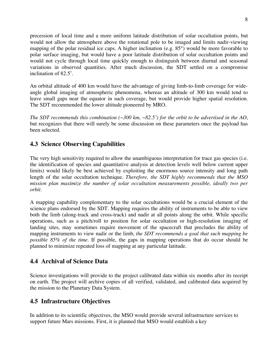precession of local time and a more uniform latitude distribution of solar occultation points, but would not allow the atmosphere above the rotational pole to be imaged and limits nadir-viewing mapping of the polar residual ice caps. A higher inclination (e.g. 85°) would be more favorable to polar surface imaging, but would have a poor latitude distribution of solar occultation points and would not cycle through local time quickly enough to distinguish between diurnal and seasonal variations in observed quantities. After much discussion, the SDT settled on a compromise inclination of 82.5˚.

An orbital altitude of 400 km would have the advantage of giving limb-to-limb coverage for wideangle global imaging of atmospheric phenomena, whereas an altitude of 300 km would tend to leave small gaps near the equator in such coverage, but would provide higher spatial resolution. The SDT recommended the lower altitude pioneered by MRO.

*The SDT recommends this combination (~300 km, ~82.5˚) for the orbit to be advertised in the AO*, but recognizes that there will surely be some discussion on these parameters once the payload has been selected.

### **4.3 Science Observing Capabilities**

The very high sensitivity required to allow the unambiguous interpretation for trace gas species (i.e. the identification of species and quantitative analysis at detection levels well below current upper limits) would likely be best achieved by exploiting the enormous source intensity and long path length of the solar occultation technique. *Therefore, the SDT highly recommends that the MSO mission plan maximize the number of solar occultation measurements possible, ideally two per orbit.*

A mapping capability complementary to the solar occultations would be a crucial element of the science plans endorsed by the SDT. Mapping requires the ability of instruments to be able to view both the limb (along-track and cross-track) and nadir at all points along the orbit. While specific operations, such as a pitch/roll to position for solar occultation or high-resolution imaging of landing sites, may sometimes require movement of the spacecraft that precludes the ability of mapping instruments to view nadir or the limb, *the SDT recommends a goal that such mapping be possible 85% of the time.* If possible, the gaps in mapping operations that do occur should be planned to minimize repeated loss of mapping at any particular latitude.

### **4.4 Archival of Science Data**

Science investigations will provide to the project calibrated data within six months after its receipt on earth. The project will archive copies of all verified, validated, and calibrated data acquired by the mission to the Planetary Data System.

### **4.5 Infrastructure Objectives**

In addition to its scientific objectives, the MSO would provide several infrastructure services to support future Mars missions. First, it is planned that MSO would establish a key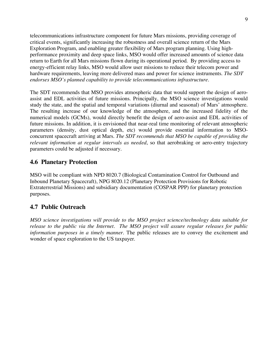telecommunications infrastructure component for future Mars missions, providing coverage of critical events, significantly increasing the robustness and overall science return of the Mars Exploration Program, and enabling greater flexibility of Mars program planning. Using highperformance proximity and deep space links, MSO would offer increased amounts of science data return to Earth for all Mars missions flown during its operational period. By providing access to energy-efficient relay links, MSO would allow user missions to reduce their telecom power and hardware requirements, leaving more delivered mass and power for science instruments. *The SDT endorses MSO's planned capability to provide telecommunications infrastructure.*

The SDT recommends that MSO provides atmospheric data that would support the design of aeroassist and EDL activities of future missions. Principally, the MSO science investigations would study the state, and the spatial and temporal variations (diurnal and seasonal) of Mars' atmosphere. The resulting increase of our knowledge of the atmosphere, and the increased fidelity of the numerical models (GCMs), would directly benefit the design of aero-assist and EDL activities of future missions. In addition, it is envisioned that near-real time monitoring of relevant atmospheric parameters (density, dust optical depth, etc) would provide essential information to MSOconcurrent spacecraft arriving at Mars. *The SDT recommends that MSO be capable of providing the relevant information at regular intervals as needed*, so that aerobraking or aero-entry trajectory parameters could be adjusted if necessary.

### **4.6 Planetary Protection**

MSO will be compliant with NPD 8020.7 (Biological Contamination Control for Outbound and Inbound Planetary Spacecraft), NPG 8020.12 (Planetary Protection Provisions for Robotic Extraterrestrial Missions) and subsidiary documentation (COSPAR PPP) for planetary protection purposes.

### **4.7 Public Outreach**

*MSO science investigations will provide to the MSO project science/technology data suitable for release to the public via the Internet*. *The MSO project will assure regular releases for public information purposes in a timely manner.* The public releases are to convey the excitement and wonder of space exploration to the US taxpayer.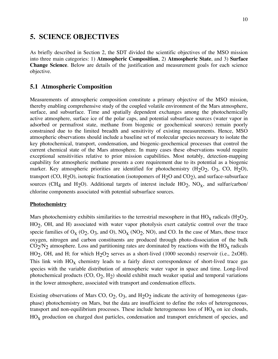### **5. SCIENCE OBJECTIVES**

As briefly described in Section 2, the SDT divided the scientific objectives of the MSO mission into three main categories: 1) **Atmospheric Composition**, 2) **Atmospheric State**, and 3) **Surface Change Science**. Below are details of the justification and measurement goals for each science objective.

### **5.1 Atmospheric Composition**

Measurements of atmospheric composition constitute a primary objective of the MSO mission, thereby enabling comprehensive study of the coupled volatile environment of the Mars atmosphere, surface, and subsurface. Time and spatially dependent exchanges among the photochemically active atmosphere, surface ice of the polar caps, and potential subsurface sources (water vapor in adsorbed or permafrost state, methane from biogenic or geochemical sources) remain poorly constrained due to the limited breadth and sensitivity of existing measurements. Hence, MSO atmospheric observations should include a baseline set of molecular species necessary to isolate the key photochemical, transport, condensation, and biogenic-geochemical processes that control the current chemical state of the Mars atmosphere. In many cases these observations would require exceptional sensitivities relative to prior mission capabilities. Most notably, detection-mapping capability for atmospheric methane presents a core requirement due to its potential as a biogenic marker. Key atmospheric priorities are identified for photochemistry  $(H_2O_2, O_3, CO, H_2O)$ , transport (CO, H<sub>2</sub>O), isotopic fractionation (isotopomers of H<sub>2</sub>O and CO<sub>2</sub>), and surface-subsurface sources (CH<sub>4</sub> and H<sub>2</sub>O). Additional targets of interest include HO<sub>2</sub>, NO<sub>x</sub>, and sulfur/carbon/ chlorine components associated with potential subsurface sources.

### **Photochemistry**

Mars photochemistry exhibits similarities to the terrestrial mesosphere in that  $HO<sub>x</sub>$  radicals (H<sub>2</sub>O<sub>2</sub>, HO<sub>2</sub>, OH, and H) associated with water vapor photolysis exert catalytic control over the trace specie families of  $O_x (O_2, O_3, and O)$ ,  $NO_x (NO_2, NO)$ , and CO. In the case of Mars, these trace oxygen, nitrogen and carbon constituents are produced through photo-dissociation of the bulk  $CO_2/N_2$  atmosphere. Loss and partitioning rates are dominated by reactions with the  $HO_{\rm X}$  radicals HO<sub>2</sub>, OH, and H; for which H<sub>2</sub>O<sub>2</sub> serves as a short-lived (1000 seconds) reservoir (i.e., 2xOH). This link with  $HO<sub>x</sub>$  chemistry leads to a fairly direct correspondence of short-lived trace gas species with the variable distribution of atmospheric water vapor in space and time. Long-lived photochemical products  $(CO, O_2, H_2)$  should exhibit much weaker spatial and temporal variations in the lower atmosphere, associated with transport and condensation effects.

Existing observations of Mars CO,  $O_2$ ,  $O_3$ , and  $H_2O_2$  indicate the activity of homogeneous (gasphase) photochemistry on Mars, but the data are insufficient to define the roles of heterogeneous, transport and non-equilibrium processes. These include heterogeneous loss of  $HO<sub>x</sub>$  on ice clouds,  $HO<sub>x</sub>$  production on charged dust particles, condensation and transport enrichment of species, and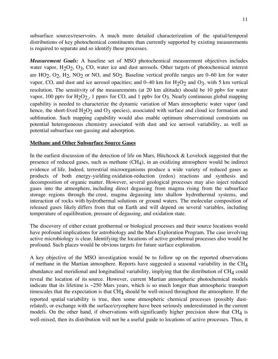*Measurement Goals:* A baseline set of MSO photochemical measurement objectives includes water vapor,  $H_2O_2$ ,  $O_3$ ,  $CO$ , water ice and dust aerosols. Other targets of photochemical interest are  $HO_2$ ,  $O_2$ ,  $H_2$ ,  $NO_2$  or  $NO$ , and  $SO_2$ . Baseline vertical profile ranges are 0–60 km for water vapor, CO, and dust and ice aerosol opacities; and  $0-40$  km for  $H_2O_2$  and  $O_3$ , with 5 km vertical resolution. The sensitivity of the measurements (at 20 km altitude) should be 10 ppbv for water vapor, 100 pptv for  $H_2O_2$ , 1 ppmv for CO, and 1 ppbv for  $O_3$ . Nearly continuous global mapping capability is needed to characterize the dynamic variation of Mars atmospheric water vapor (and hence, the short-lived  $H_2O_2$  and  $O_3$  species), associated with surface and cloud ice formation and sublimation. Such mapping capability would also enable optimum observational constraints on potential heterogeneous chemistry associated with dust and ice aerosol variability, as well as potential subsurface out-gassing and adsorption.

### **Methane and Other Subsurface Source Gases**

In the earliest discussion of the detection of life on Mars, Hitchcock  $\&$  Lovelock suggested that the presence of reduced gases, such as methane  $(CH<sub>4</sub>)$ , in an oxidizing atmosphere would be indirect evidence of life. Indeed, terrestrial microorganisms produce a wide variety of reduced gases as products of both energy-yielding oxidation-reduction (redox) reactions and synthesis and decomposition of organic matter. However, several geological processes may also inject reduced gases into the atmosphere, including direct degassing from magma rising from the subsurface storage regions through the crust, magma degassing into shallow hydrothermal systems, and interaction of rocks with hydrothermal solutions or ground waters. The molecular composition of released gases likely differs from that on Earth and will depend on several variables, including temperature of equilibration, pressure of degassing, and oxidation state.

The discovery of either extant geothermal or biological processes and their source locations would have profound implications for astrobiology and the Mars Exploration Program. The case involving active microbiology is clear. Identifying the locations of active geothermal processes also would be profound. Such places would be obvious targets for future surface exploration.

A key objective of the MSO investigation would be to follow up on the reported observations of methane in the Martian atmosphere. Reports have suggested a seasonal variability in the  $CH<sub>4</sub>$ abundance and meridional and longitudinal variability, implying that the distribution of CH<sub>4</sub> could reveal the location of its source. However, current Martian atmospheric photochemical models indicate that its lifetime is  $\sim$ 250 Mars years, which is so much longer than atmospheric transport timescales that the expectation is that  $CH<sub>4</sub>$  should be well-mixed throughout the atmosphere. If the reported spatial variability is true, then some atmospheric chemical processes (possibly dustrelated), or exchange with the surface/cryosphere have been seriously underestimated in the current models. On the other hand, if observations with significantly higher precision show that  $CH<sub>4</sub>$  is well-mixed, then its distribution will not be a useful guide to locations of active processes. Thus, it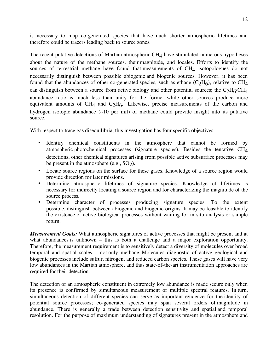is necessary to map co-generated species that have much shorter atmospheric lifetimes and therefore could be tracers leading back to source zones.

The recent putative detections of Martian atmospheric  $CH<sub>4</sub>$  have stimulated numerous hypotheses about the nature of the methane sources, their magnitude, and locales. Efforts to identify the sources of terrestrial methane have found that measurements of  $CH<sub>4</sub>$  isotopologues do not necessarily distinguish between possible abiogenic and biogenic sources. However, it has been found that the abundances of other co-generated species, such as ethane  $(C_2H_6)$ , relative to CH<sub>4</sub> can distinguish between a source from active biology and other potential sources; the  $C_2H_6/CH_4$ abundance ratio is much less than unity for the former, while other sources produce more equivalent amounts of CH<sub>4</sub> and C<sub>2</sub>H<sub>6</sub>. Likewise, precise measurements of the carbon and hydrogen isotopic abundance  $(\sim 10$  per mil) of methane could provide insight into its putative source.

With respect to trace gas disequilibria, this investigation has four specific objectives:

- Identify chemical constituents in the atmosphere that cannot be formed by atmospheric photochemical processes (signature species). Besides the tentative CH4 detections, other chemical signatures arising from possible active subsurface processes may be present in the atmosphere (e.g.,  $SO<sub>2</sub>$ ).
- Locate source regions on the surface for these gases. Knowledge of a source region would provide direction for later missions.
- Determine atmospheric lifetimes of signature species. Knowledge of lifetimes is necessary for indirectly locating a source region and for characterizing the magnitude of the source process.
- Determine character of processes producing signature species. To the extent possible, distinguish between abiogenic and biogenic origins. It may be feasible to identify the existence of active biological processes without waiting for in situ analysis or sample return.

*Measurement Goals:* What atmospheric signatures of active processes that might be present and at what abundances is unknown – this is both a challenge and a major exploration opportunity. Therefore, the measurement requirement is to sensitively detect a diversity of molecules over broad temporal and spatial scales – not only methane. Molecules diagnostic of active geological and biogenic processes include sulfur, nitrogen, and reduced carbon species. These gases will have very low abundances in the Martian atmosphere, and thus state-of-the-art instrumentation approaches are required for their detection.

The detection of an atmospheric constituent in extremely low abundance is made secure only when its presence is confirmed by simultaneous measurement of multiple spectral features. In turn, simultaneous detection of different species can serve as important evidence for the identity of potential source processes; co-generated species may span several orders of magnitude in abundance. There is generally a trade between detection sensitivity and spatial and temporal resolution. For the purpose of maximum understanding of signatures present in the atmosphere and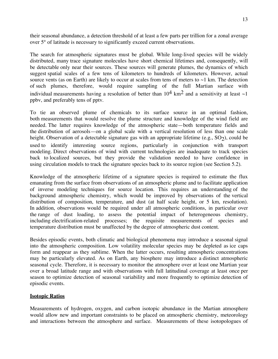their seasonal abundance, a detection threshold of at least a few parts per trillion for a zonal average over 5° of latitude is necessary to significantly exceed current observations.

The search for atmospheric signatures must be global. While long-lived species will be widely distributed, many trace signature molecules have short chemical lifetimes and, consequently, will be detectable only near their sources. These sources will generate plumes, the dynamics of which suggest spatial scales of a few tens of kilometers to hundreds of kilometers. However, actual source vents (as on Earth) are likely to occur at scales from tens of meters to  $\sim$ 1 km. The detection of such plumes, therefore, would require sampling of the full Martian surface with individual measurements having a resolution of better than  $10^4$  km<sup>2</sup> and a sensitivity at least  $\sim$ 1 ppbv, and preferably tens of pptv.

To tie an observed plume of chemicals to its surface source in an optimal fashion, both measurements that would resolve the plume structure and knowledge of the wind field are needed. The latter requires knowledge of the atmospheric state—both temperature fields and the distribution of aerosols—on a global scale with a vertical resolution of less than one scale height. Observation of a detectable signature gas with an appropriate lifetime (e.g.,  $SO_2$ ), could be used to identify interesting source regions, particularly in conjunction with transport modeling. Direct observations of wind with current technologies are inadequate to track species back to localized sources, but they provide the validation needed to have confidence in using circulation models to track the signature species back to its source region (see Section 5.2).

Knowledge of the atmospheric lifetime of a signature species is required to estimate the flux emanating from the surface from observations of an atmospheric plume and to facilitate application of inverse modeling techniques for source location. This requires an understanding of the background atmospheric chemistry, which would be improved by observations of the vertical distribution of composition, temperature, and dust (at half scale height, or 5 km, resolution). In addition, observations would be required under all atmospheric conditions, in particular over the range of dust loading, to assess the potential impact of heterogeneous chemistry, including electrification-related processes; the requisite measurements of species and temperature distribution must be unaffected by the degree of atmospheric dust content.

Besides episodic events, both climatic and biological phenomena may introduce a seasonal signal into the atmospheric composition. Low volatility molecular species may be depleted as ice caps form and reappear as they sublime. When the latter occurs, resulting atmospheric concentrations may be particularly elevated. As on Earth, any biosphere may introduce a distinct atmospheric seasonal cycle. Therefore, it is necessary to monitor the atmosphere over at least one Martian year over a broad latitude range and with observations with full latitudinal coverage at least once per season to optimize detection of seasonal variability and more frequently to optimize detection of episodic events.

### **Isotopic Ratios**

Measurements of hydrogen, oxygen, and carbon isotopic abundance in the Martian atmosphere would allow new and important constraints to be placed on atmospheric chemistry, meteorology and interactions between the atmosphere and surface. Measurements of these isotopologues of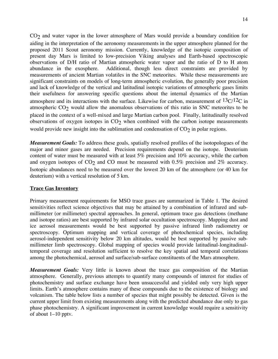CO<sub>2</sub> and water vapor in the lower atmosphere of Mars would provide a boundary condition for aiding in the interpretation of the aeronomy measurements in the upper atmosphere planned for the proposed 2011 Scout aeronomy mission. Currently, knowledge of the isotopic composition of present day Mars is limited to low-precision Viking analyses and Earth-based spectroscopic observations of D/H ratio of Martian atmospheric water vapor and the ratio of D to H atom abundance in the exosphere. Additional, though less direct constraints are provided by measurements of ancient Martian volatiles in the SNC meteorites. While these measurements are significant constraints on models of long-term atmospheric evolution, the generally poor precision and lack of knowledge of the vertical and latitudinal isotopic variations of atmospheric gases limits their usefulness for answering specific questions about the internal dynamics of the Martian atmosphere and its interactions with the surface. Likewise for carbon, measurement of  $13C/12C$  in atmospheric  $CO<sub>2</sub>$  would allow the anomalous observations of this ratio in SNC meteorites to be placed in the context of a well-mixed and large Martian carbon pool. Finally, latitudinally resolved observations of oxygen isotopes in  $CO<sub>2</sub>$  when combined with the carbon isotope measurements would provide new insight into the sublimation and condensation of  $CO<sub>2</sub>$  in polar regions.

*Measurement Goals:* To address these goals, spatially resolved profiles of the isotopologues of the major and minor gases are needed. Precision requirements depend on the isotope. Deuterium content of water must be measured with at least 5% precision and 10% accuracy, while the carbon and oxygen isotopes of  $CO<sub>2</sub>$  and  $CO$  must be measured with 0.5% precision and 2% accuracy. Isotopic abundances need to be measured over the lowest 20 km of the atmosphere (or 40 km for deuterium) with a vertical resolution of 5 km.

### **Trace Gas Inventory**

Primary measurement requirements for MSO trace gases are summarized in Table 1. The desired sensitivities reflect science objectives that may be attained by a combination of infrared and submillimeter (or millimeter) spectral approaches. In general, optimum trace gas detections (methane and isotope ratios) are best supported by infrared solar occultation spectroscopy. Mapping dust and ice aerosol measurements would be best supported by passive infrared limb radiometry or spectroscopy. Optimum mapping and vertical coverage of photochemical species, including aerosol-independent sensitivity below 20 km altitudes, would be best supported by passive submillimeter limb spectroscopy. Global mapping of species would provide latitudinal-longitudinaltemporal coverage and resolution sufficient to resolve the key spatial and temporal correlations among the photochemical, aerosol and surface/sub-surface constituents of the Mars atmosphere.

*Measurement Goals:* Very little is known about the trace gas composition of the Martian atmosphere. Generally, previous attempts to quantify many compounds of interest for studies of photochemistry and surface exchange have been unsuccessful and yielded only very high upper limits. Earth's atmosphere contains many of these compounds due to the existence of biology and volcanism. The table below lists a number of species that might possibly be detected. Given is the current upper limit from existing measurements along with the predicted abundance due only to gas phase photochemistry. A significant improvement in current knowledge would require a sensitivity of about 1–10 pptv.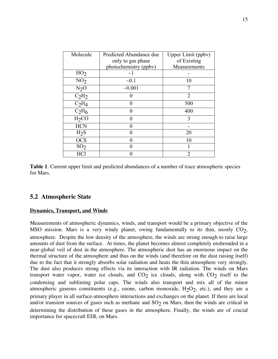| Molecule          | Predicted Abundance due | Upper Limit (ppbv) |
|-------------------|-------------------------|--------------------|
|                   | only to gas phase       | of Existing        |
|                   | photochemistry (ppbv)   | Measurements       |
| HO <sub>2</sub>   | $\sim$ 1                |                    |
| NO <sub>2</sub>   | $-0.1$                  | 10                 |
| $N2$ O            | $-0.001$                | 7                  |
| $C_2H_2$          |                         | $\overline{2}$     |
| $C_2H_4$          |                         | 500                |
| $C_2H_6$          | $\mathbf{\Omega}$       | 400                |
| H <sub>2</sub> CO |                         | 3                  |
| <b>HCN</b>        |                         |                    |
| H <sub>2</sub> S  |                         | 20                 |
| <b>OCS</b>        |                         | 10                 |
| SO <sub>2</sub>   |                         |                    |
| <b>HCl</b>        |                         | $\overline{2}$     |

**Table 1**. Current upper limit and predicted abundances of a number of trace atmospheric species for Mars.

### **5.2 Atmospheric State**

#### **Dynamics, Transport, and Winds**

Measurements of atmospheric dynamics, winds, and transport would be a primary objective of the MSO mission. Mars is a very windy planet, owing fundamentally to its thin, mostly  $CO<sub>2</sub>$ , atmosphere. Despite the low density of the atmosphere, the winds are strong enough to raise large amounts of dust from the surface. At times, the planet becomes almost completely enshrouded in a near-global veil of dust in the atmosphere. The atmospheric dust has an enormous impact on the thermal structure of the atmosphere and thus on the winds (and therefore on the dust raising itself) due to the fact that it strongly absorbs solar radiation and heats the thin atmosphere very strongly. The dust also produces strong effects via its interaction with IR radiation. The winds on Mars transport water vapor, water ice clouds, and  $CO<sub>2</sub>$  ice clouds, along with  $CO<sub>2</sub>$  itself to the condensing and subliming polar caps. The winds also transport and mix all of the minor atmospheric gaseous constituents (e.g., ozone, carbon monoxide,  $H_2O_2$ , etc.), and they are a primary player in all surface-atmosphere interactions and exchanges on the planet. If there are local and/or transient sources of gases such as methane and  $SO<sub>2</sub>$  on Mars, then the winds are critical in determining the distribution of these gases in the atmosphere. Finally, the winds are of crucial importance for spacecraft EDL on Mars.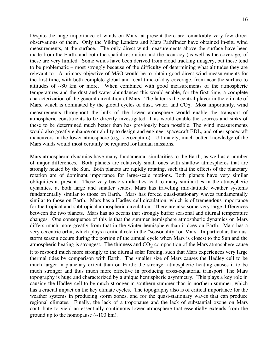Despite the huge importance of winds on Mars, at present there are remarkably very few direct observations of them. Only the Viking Landers and Mars Pathfinder have obtained in-situ wind measurements, at the surface. The only direct wind measurements above the surface have been made from the Earth, and both the spatial resolution and the accuracy (as well as the coverage) of these are very limited. Some winds have been derived from cloud tracking imagery, but these tend to be problematic – most strongly because of the difficulty of determining what altitudes they are relevant to. A primary objective of MSO would be to obtain good direct wind measurements for the first time, with both complete global and local time-of-day coverage, from near the surface to altitudes of  $\sim 80$  km or more. When combined with good measurements of the atmospheric temperatures and the dust and water abundances this would enable, for the first time, a complete characterization of the general circulation of Mars. The latter is the central player in the climate of Mars, which is dominated by the global cycles of dust, water, and  $CO<sub>2</sub>$ . Most importantly, wind measurements throughout the bulk of the lower atmosphere would enable the transport of atmospheric constituents to be directly investigated. This would enable the sources and sinks of these to be determined much better than has previously been possible. The wind measurements would also greatly enhance our ability to design and engineer spacecraft EDL, and other spacecraft maneuvers in the lower atmosphere (e.g., aerocapture). Ultimately, much better knowledge of the Mars winds would most certainly be required for human missions.

Mars atmospheric dynamics have many fundamental similarities to the Earth, as well as a number of major differences. Both planets are relatively small ones with shallow atmospheres that are strongly heated by the Sun. Both planets are rapidly rotating, such that the effects of the planetary rotation are of dominant importance for large-scale motions. Both planets have very similar obliquities at present. These very basic similarities lead to many similarities in the atmospheric dynamics, at both large and smaller scales. Mars has traveling mid-latitude weather systems fundamentally similar to those on Earth. Mars has forced quasi-stationary waves fundamentally similar to those on Earth. Mars has a Hadley cell circulation, which is of tremendous importance for the tropical and subtropical atmospheric circulation. There are also some very large differences between the two planets. Mars has no oceans that strongly buffer seasonal and diurnal temperature changes. One consequence of this is that the summer hemisphere atmospheric dynamics on Mars differs much more greatly from that in the winter hemisphere than it does on Earth. Mars has a very eccentric orbit, which plays a critical role in the "seasonality" on Mars. In particular, the dust storm season occurs during the portion of the annual cycle when Mars is closest to the Sun and the atmospheric heating is strongest. The thinness and  $CO<sub>2</sub>$  composition of the Mars atmosphere cause it to respond much more strongly to the diurnal solar forcing, such that Mars experiences very large thermal tides by comparison with Earth. The smaller size of Mars causes the Hadley cell to be much larger in planetary extent than on Earth; the stronger atmospheric heating causes it to be much stronger and thus much more effective in producing cross-equatorial transport. The Mars topography is huge and characterized by a unique hemispheric asymmetry. This plays a key role in causing the Hadley cell to be much stronger in southern summer than in northern summer, which has a crucial impact on the key climate cycles. The topography also is of critical importance for the weather systems in producing storm zones, and for the quasi-stationary waves that can produce regional climates. Finally, the lack of a tropopause and the lack of substantial ozone on Mars contribute to yield an essentially continuous lower atmosphere that essentially extends from the ground up to the homopause  $(\sim 100 \text{ km})$ .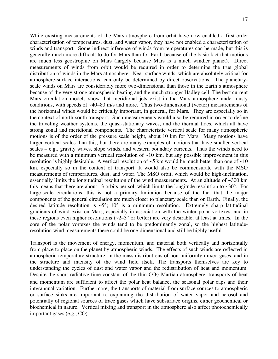While existing measurements of the Mars atmosphere from orbit have now enabled a first-order characterization of temperatures, dust, and water vapor, they have not enabled a characterization of winds and transport. Some indirect inference of winds from temperatures can be made, but this is generally much more difficult to do for Mars than for Earth because of the basic fact that motions are much less geostrophic on Mars (largely because Mars is a much windier planet). Direct measurements of winds from orbit would be required in order to determine the true global distribution of winds in the Mars atmosphere. Near-surface winds, which are absolutely critical for atmosphere-surface interactions, can only be determined by direct observations. The planetaryscale winds on Mars are considerably more two-dimensional than those in the Earth's atmosphere because of the very strong atmospheric heating and the much stronger Hadley cell. The best current Mars circulation models show that meridional jets exist in the Mars atmosphere under dusty conditions, with speeds of  $\sim$ 40–80 m/s and more. Thus two-dimensional (vector) measurements of the horizontal winds would be critically important, in general, for Mars. They are especially so in the context of north-south transport. Such measurements would also be required in order to define the traveling weather systems, the quasi-stationary waves, and the thermal tides, which all have strong zonal and meridional components. The characteristic vertical scale for many atmospheric motions is of the order of the pressure scale height, about 10 km for Mars. Many motions have larger vertical scales than this, but there are many examples of motions that have smaller vertical scales – e.g., gravity waves, slope winds, and western boundary currents. Thus the winds need to be measured with a minimum vertical resolution of  $\sim$ 10 km, but any possible improvement in this resolution is highly desirable. A vertical resolution of  $\sim$ 5 km would be much better than one of  $\sim$ 10 km, especially so in the context of transport. It would also be commensurate with the MSO measurements of temperatures, dust, and water. The MSO orbit, which would be high-inclination, essentially limits the longitudinal resolution of the wind measurements. At an altitude of  $\sim$ 300 km this means that there are about 13 orbits per sol, which limits the longitude resolution to  $\sim 30^{\circ}$ . For large-scale circulations, this is not a primary limitation because of the fact that the major components of the general circulation are much closer to planetary scale than on Earth. Finally, the desired latitude resolution is  $\sim 5^{\circ}$ ; 10° is a minimum resolution. Extremely sharp latitudinal gradients of wind exist on Mars, especially in association with the winter polar vortexes, and in these regions even higher resolutions ( $\sim$ 2–3° or better) are very desirable, at least at times. In the core of the polar vortexes the winds tend to be predominantly zonal, so the highest latituderesolution wind measurements there could be one-dimensional and still be highly useful.

Transport is the movement of energy, momentum, and material both vertically and horizontally from place to place on the planet by atmospheric winds. The effects of such winds are reflected in atmospheric temperature structure, in the mass distributions of non-uniformly mixed gases, and in the structure and intensity of the wind field itself. The transports themselves are key to understanding the cycles of dust and water vapor and the redistribution of heat and momentum. Despite the short radiative time constant of the thin  $CO<sub>2</sub>$  Martian atmosphere, transports of heat and momentum are sufficient to affect the polar heat balance, the seasonal polar caps and their interannual variation. Furthermore, the transports of material from surface sources to atmospheric or surface sinks are important to explaining the distribution of water vapor and aerosol and potentially of regional sources of trace gases which have subsurface origins, either geochemical or biochemical in nature. Vertical mixing and transport in the atmosphere also affect photochemically important gases (e.g., CO).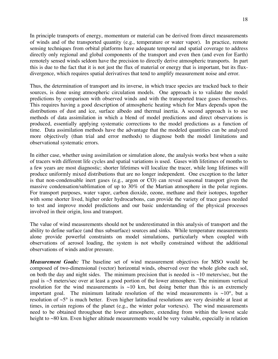In principle transports of energy, momentum or material can be derived from direct measurements of winds and of the transported quantity (e.g., temperature or water vapor). In practice, remote sensing techniques from orbital platforms have adequate temporal and spatial coverage to address directly only regional and global components of the transport and even then (and even for Earth) remotely sensed winds seldom have the precision to directly derive atmospheric transports. In part this is due to the fact that it is not just the flux of material or energy that is important, but its fluxdivergence, which requires spatial derivatives that tend to amplify measurement noise and error.

Thus, the determination of transport and its inverse, in which trace species are tracked back to their sources, is done using atmospheric circulation models. One approach is to validate the model predictions by comparison with observed winds and with the transported trace gases themselves. This requires having a good description of atmospheric heating which for Mars depends upon the distributions of dust and ice, surface albedo and thermal inertia. A second approach is to use methods of data assimilation in which a blend of model predictions and direct observations is produced, essentially applying systematic corrections to the model predictions as a function of time. Data assimilation methods have the advantage that the modeled quantities can be analyzed more objectively (than trial and error methods) to diagnose both the model limitations and observational systematic errors.

In either case, whether using assimilation or simulation alone, the analysis works best when a suite of tracers with different life cycles and spatial variations is used. Gases with lifetimes of months to a few years are most diagnostic; shorter lifetimes will localize the tracer, while long lifetimes will produce uniformly mixed distributions that are no longer independent. One exception to the latter is that non-condensable inert gases (e.g., argon or CO) can reveal seasonal transport given the massive condensation/sublimation of up to 30% of the Martian atmosphere in the polar regions. For transport purposes, water vapor, carbon dioxide, ozone, methane and their isotopes, together with some shorter lived, higher order hydrocarbons, can provide the variety of trace gases needed to test and improve model predictions and our basic understanding of the physical processes involved in their origin, loss and transport.

The value of wind measurements should not be underestimated in this analysis of transport and the ability to define surface (and thus subsurface) sources and sinks. While temperature measurements alone provide powerful constraints on model simulations, particularly when coupled with observations of aerosol loading, the system is not wholly constrained without the additional observations of winds and/or pressure.

*Measurement Goals:* The baseline set of wind measurement objectives for MSO would be composed of two-dimensional (vector) horizontal winds, observed over the whole globe each sol, on both the day and night sides. The minimum precision that is needed is  $\sim$ 10 meters/sec, but the goal is  $\sim$ 5 meters/sec over at least a good portion of the lower atmosphere. The minimum vertical resolution for the wind measurements is  $\sim 10$  km, but doing better than this is an extremely important goal. The minimum latitude resolution of the wind measurements is  $\sim 10^{\circ}$ , but a resolution of  $\sim$ 5° is much better. Even higher latitudinal resolutions are very desirable at least at times, in certain regions of the planet (e.g., the winter polar vortexes). The wind measurements need to be obtained throughout the lower atmosphere, extending from within the lowest scale height to ~80 km. Even higher altitude measurements would be very valuable, especially in relation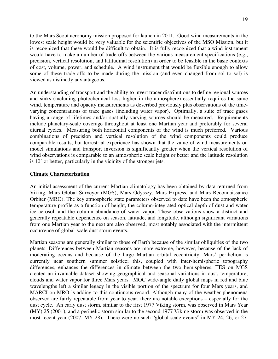to the Mars Scout aeronomy mission proposed for launch in 2011. Good wind measurements in the lowest scale height would be very valuable for the scientific objectives of the MSO Mission, but it is recognized that these would be difficult to obtain. It is fully recognized that a wind instrument would have to make a number of trade-offs between the various measurement specifications (e.g., precision, vertical resolution, and latitudinal resolution) in order to be feasible in the basic contexts of cost, volume, power, and schedule. A wind instrument that would be flexible enough to allow some of these trade-offs to be made during the mission (and even changed from sol to sol) is viewed as distinctly advantageous.

An understanding of transport and the ability to invert tracer distributions to define regional sources and sinks (including photochemical loss higher in the atmosphere) essentially requires the same wind, temperature and opacity measurements as described previously plus observations of the timevarying concentrations of trace gases (including water vapor). Optimally, a suite of trace gases having a range of lifetimes and/or spatially varying sources should be measured. Requirements include planetary-scale coverage throughout at least one Martian year and preferably for several diurnal cycles. Measuring both horizontal components of the wind is much preferred. Various combinations of precision and vertical resolution of the wind components could produce comparable results, but terrestrial experience has shown that the value of wind measurements on model simulations and transport inversion is significantly greater when the vertical resolution of wind observations is comparable to an atmospheric scale height or better and the latitude resolution is 10˚ or better, particularly in the vicinity of the stronger jets.

#### **Climate Characterization**

An initial assessment of the current Martian climatology has been obtained by data returned from Viking, Mars Global Surveyor (MGS), Mars Odyssey, Mars Express, and Mars Reconnaissance Orbiter (MRO). The key atmospheric state parameters observed to date have been the atmospheric temperature profile as a function of height, the column-integrated optical depth of dust and water ice aerosol, and the column abundance of water vapor. These observations show a distinct and generally repeatable dependence on season, latitude, and longitude, although significant variations from one Martian year to the next are also observed, most notably associated with the intermittent occurrence of global-scale dust storm events.

Martian seasons are generally similar to those of Earth because of the similar obliquities of the two planets. Differences between Martian seasons are more extreme, however, because of the lack of moderating oceans and because of the large Martian orbital eccentricity. Mars' perihelion is currently near southern summer solstice; this, coupled with inter-hemispheric topography differences, enhances the differences in climate between the two hemispheres. TES on MGS created an invaluable dataset showing geographical and seasonal variations in dust, temperature, clouds and water vapor for three Mars years. MOC wide-angle daily global maps in red and blue wavelengths left a similar legacy in the visible portion of the spectrum for four Mars years, and MARCI on MRO is adding to this continuous record. Although many of the weather phenomena observed are fairly repeatable from year to year, there are notable exceptions – especially for the dust cycle. An early dust storm, similar to the first 1977 Viking storm, was observed in Mars Year (MY) 25 (2001), and a perihelic storm similar to the second 1977 Viking storm was observed in the most recent year (2007, MY 28). There were no such "global-scale events" in MY 24, 26, or 27.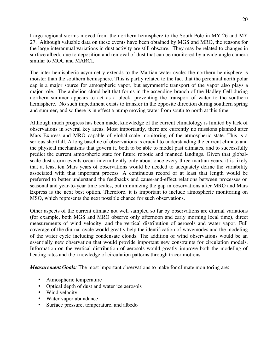20

Large regional storms moved from the northern hemisphere to the South Pole in MY 26 and MY 27. Although valuable data on these events have been obtained by MGS and MRO, the reasons for the large interannual variations in dust activity are still obscure. They may be related to changes in surface albedo due to deposition and removal of dust that can be monitored by a wide-angle camera similar to MOC and MARCI.

The inter-hemispheric asymmetry extends to the Martian water cycle: the northern hemisphere is moister than the southern hemisphere. This is partly related to the fact that the perennial north polar cap is a major source for atmospheric vapor, but asymmetric transport of the vapor also plays a major role. The aphelion cloud belt that forms in the ascending branch of the Hadley Cell during northern summer appears to act as a block, preventing the transport of water to the southern hemisphere. No such impediment exists to transfer in the opposite direction during southern spring and summer, and so there is in effect a pump moving water from south to north at this time.

Although much progress has been made, knowledge of the current climatology is limited by lack of observations in several key areas. Most importantly, there are currently no missions planned after Mars Express and MRO capable of global-scale monitoring of the atmospheric state. This is a serious shortfall. A long baseline of observations is crucial to understanding the current climate and the physical mechanisms that govern it, both to be able to model past climates, and to successfully predict the current atmospheric state for future robotic and manned landings. Given that globalscale dust storm events occur intermittently only about once every three martian years, it is likely that at least ten Mars years of observations would be needed to adequately define the variability associated with that important process. A continuous record of at least that length would be preferred to better understand the feedbacks and cause-and-effect relations between processes on seasonal and year-to-year time scales, but minimizing the gap in observations after MRO and Mars Express is the next best option. Therefore, it is important to include atmospheric monitoring on MSO, which represents the next possible chance for such observations.

Other aspects of the current climate not well sampled so far by observations are diurnal variations (for example, both MGS and MRO observe only afternoon and early morning local time), direct measurements of wind velocity, and the vertical distribution of aerosols and water vapor. Full coverage of the diurnal cycle would greatly help the identification of wavemodes and the modeling of the water cycle including condensate clouds. The addition of wind observations would be an essentially new observation that would provide important new constraints for circulation models. Information on the vertical distribution of aerosols would greatly improve both the modeling of heating rates and the knowledge of circulation patterns through tracer motions.

*Measurement Goals:* The most important observations to make for climate monitoring are:

- Atmospheric temperature
- Optical depth of dust and water ice aerosols
- Wind velocity
- Water vapor abundance
- Surface pressure, temperature, and albedo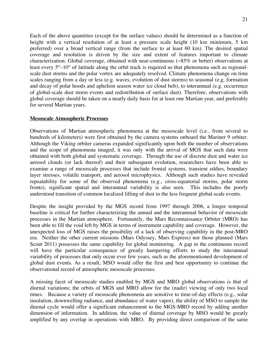Each of the above quantities (except for the surface values) should be determined as a function of height with a vertical resolution of at least a pressure scale height (10 km minimum, 5 km preferred) over a broad vertical range (from the surface to at least 60 km). The desired spatial coverage and resolution is driven by the size and extent of features important to climate characterization. Global coverage, obtained with near-continuous ( $\sim 85\%$  or better) observations at least every 5°–10° of latitude along the orbit track is required so that phenomena such as regionalscale dust storms and the polar vortex are adequately resolved. Climate phenomena change on time scales ranging from a day or less (e.g. waves, evolution of dust storms) to seasonal (e.g. formation and decay of polar hoods and aphelion season water ice cloud belt), to interannual (e.g. occurrence of global-scale dust storm events and redistribution of surface dust). Therefore, observations with global coverage should be taken on a nearly daily basis for at least one Martian year, and preferably for several Martian years.

#### **Mesoscale Atmospheric Processes**

Observations of Martian atmospheric phenomena at the mesoscale level (i.e., from several to hundreds of kilometers) were first obtained by the camera systems onboard the Mariner 9 orbiter. Although the Viking orbiter cameras expanded significantly upon both the number of observations and the scope of phenomena imaged, it was only with the arrival of MGS that such data were obtained with both global and systematic coverage. Through the use of discrete dust and water ice aerosol clouds (or lack thereof) and their subsequent evolution, researchers have been able to examine a range of mesoscale processes that include frontal systems, transient eddies, boundary layer stresses, volatile transport, and aerosol microphysics. Although such studies have revealed repeatability for some of the observed phenomena (e.g., cross-equatorial storms, polar storm fronts), significant spatial and interannual variability is also seen. This includes the poorly understood transition of common localized lifting of dust to the less frequent global-scale events.

Despite the insight provided by the MGS record from 1997 through 2006, a longer temporal baseline is critical for further characterizing the annual and the interannual behavior of mesoscale processes in the Martian atmosphere. Fortunately, the Mars Reconnaissance Orbiter (MRO) has been able to fill the void left by MGS in terms of instrument capability and coverage. However, the unexpected loss of MGS raises the possibility of a lack of observing capability in the post-MRO era. Neither the other current missions (Mars Odyssey, Mars Express) nor those planned (Mars Scout 2011) possesses the same capability for global monitoring. A gap in the continuous record will have the particular consequence of greatly hampering efforts to study the interannual variability of processes that only occur ever few years, such as the aforementioned development of global dust events. As a result, MSO would offer the first and best opportunity to continue the observational record of atmospheric mesoscale processes.

A missing facet of mesoscale studies enabled by MGS and MRO global observations is that of diurnal variations; the orbits of MGS and MRO allow for the (nadir) viewing of only two local times. Because a variety of mesoscale phenomena are sensitive to time-of-day effects (e.g., solar insolation, downwelling radiance, and abundance of water vapor), the ability of MSO to sample the diurnal cycle would offer a significant enhancement to the MGS-MRO record by adding another dimension of information. In addition, the value of diurnal coverage by MSO would be greatly amplified by any overlap in operations with MRO. By providing direct comparison of the same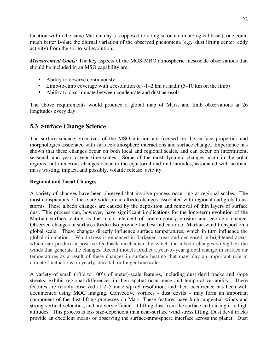location within the same Martian day (as opposed to doing so on a climatological basis), one could much better isolate the diurnal variation of the observed phenomena (e.g., dust lifting center, eddy activity) from the sol-to-sol evolution.

*Measurement Goals:* The key aspects of the MGS-MRO atmospheric mesoscale observations that should be included in an MSO capability are:

- Ability to observe continuously
- Limb-to-limb coverage with a resolution of  $\sim$  1–2 km at nadir (5–10 km on the limb)
- Ability to discriminate between condensate and dust aerosols

The above requirements would produce a global map of Mars, and limb observations at 26 longitudes every day.

### **5.3 Surface Change Science**

The surface science objectives of the MSO mission are focused on the surface properties and morphologies associated with surface-atmosphere interactions and surface change. Experience has shown that these changes occur on both local and regional scales, and can occur on intermittent, seasonal, and year-to-year time scales. Some of the most dynamic changes occur in the polar regions, but numerous changes occur in the equatorial and mid-latitudes, associated with aeolian, mass wasting, impact, and possibly, volatile release, activity.

### **Regional and Local Changes**

A variety of changes have been observed that involve process occurring at regional scales. The most conspicuous of these are widespread albedo changes associated with regional and global dust storms. These albedo changes are caused by the deposition and removal of thin layers of surface dust. This process can, however, have significant implications for the long-term evolution of the Martian surface, acting as the major element of contemporary erosion and geologic change. Observed changes in surface albedo also provide the best indication of Martian wind transport on a global scale. These changes directly influence surface temperatures, which in turn influence the global circulation. Wind stress is enhanced in darkened areas and decreased in brightened areas, which can produce a positive feedback mechanism by which the albedo changes strengthen the winds that generate the changes. Recent models predict a year-to-year global change in surface air temperatures as a result of these changes in surface heating that may play an important role in climate fluctuations on yearly, decadal, or longer timescales.

A variety of small (10's to 100's of meter)-scale features, including dust devil tracks and slope streaks, exhibit regional differences in their spatial occurrence and temporal variability. These features are readily observed at 2–5 meters/pixel resolution, and their occurrence has been well documented using MOC imaging. Convective vortices - dust devils – may form an important component of the dust lifting processes on Mars. These features have high tangential winds and strong vertical velocities, and are very efficient at lifting dust from the surface and raising it to high altitudes. This process is less size-dependent than near-surface wind stress lifting. Dust devil tracks provide an excellent means of observing the surface-atmosphere interface across the planet. Dust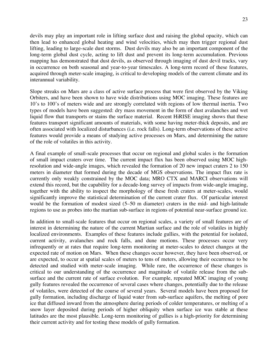devils may play an important role in lifting surface dust and raising the global opacity, which can then lead to enhanced global heating and wind velocities, which may then trigger regional dust lifting, leading to large-scale dust storms. Dust devils may also be an important component of the long-term global dust cycle, acting to lift dust and prevent its long-term accumulation. Previous mapping has demonstrated that dust devils, as observed through imaging of dust devil tracks, vary in occurrence on both seasonal and year-to-year timescales. A long-term record of these features, acquired through meter-scale imaging, is critical to developing models of the current climate and its interannual variability.

Slope streaks on Mars are a class of active surface process that were first observed by the Viking Orbiters, and have been shown to have wide distributions using MOC imaging. These features are 10's to 100's of meters wide and are strongly correlated with regions of low thermal inertia. Two types of models have been suggested: dry mass movement in the form of dust avalanches and wet liquid flow that transports or stains the surface material. Recent HiRISE imaging shows that these features transport significant amounts of materials, with some having meter-thick deposits, and are often associated with localized disturbances (i.e. rock falls). Long-term observations of these active features would provide a means of studying active processes on Mars, and determining the nature of the role of volatiles in this activity.

A final example of small-scale processes that occur on regional and global scales is the formation of small impact craters over time. The current impact flux has been observed using MOC highresolution and wide-angle images, which revealed the formation of 20 new impact craters 2 to 150 meters in diameter that formed during the decade of MGS observations. The impact flux rate is currently only weakly constrained by the MOC data; MRO CTX and MARCI observations will extend this record, but the capability for a decade-long survey of impacts from wide-angle imaging, together with the ability to inspect the morphology of these fresh craters at meter-scales, would significantly improve the statistical determination of the current crater flux. Of particular interest would be the formation of modest sized (5–50 m diameter) craters in the mid- and high-latitude regions to use as probes into the martian sub-surface in regions of potential near-surface ground ice.

In addition to small-scale features that occur on regional scales, a variety of small features are of interest in determining the nature of the current Martian surface and the role of volatiles in highly localized environments. Examples of these features include gullies, with the potential for isolated, current activity, avalanches and rock falls, and dune motions. These processes occur very infrequently or at rates that require long-term monitoring at meter-scales to detect changes at the expected rate of motion on Mars. When these changes occur however, they have been observed, or are expected, to occur at spatial scales of meters to tens of meters, allowing their occurrence to be detected and studied with meter-scale imaging. While rare, the occurrence of these changes is critical to our understanding of the occurrence and magnitude of volatile release from the subsurface and the current rate of surface evolution. For example, repeated MOC imaging of young gully features revealed the occurrence of several cases where changes, potentially due to the release of volatiles, were detected of the course of several years. Several models have been proposed for gully formation, including discharge of liquid water from sub-surface aquifers, the melting of pore ice that diffused inward from the atmosphere during periods of colder temperatures, or melting of a snow layer deposited during periods of higher obliquity when surface ice was stable at these latitudes are the most plausible. Long-term monitoring of gullies is a high-priority for determining their current activity and for testing these models of gully formation.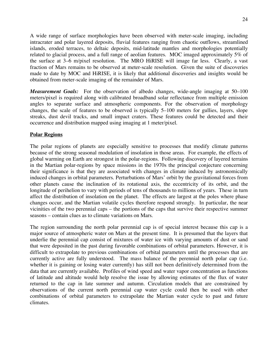24

A wide range of surface morphologies have been observed with meter-scale imaging, including intracrater and polar layered deposits, fluvial features ranging from chaotic outflows, streamlined islands, eroded terraces, to deltaic deposits, mid-latitude mantles and morphologies potentially related to glacial process, and a full range of aeolian features. MOC imaged approximately 5% of the surface at 3–6 m/pixel resolution. The MRO HiRISE will image far less. Clearly, a vast fraction of Mars remains to be observed at meter-scale resolution. Given the suite of discoveries made to date by MOC and HiRISE, it is likely that additional discoveries and insights would be obtained from meter-scale imaging of the remainder of Mars.

*Measurement Goals:* For the observation of albedo changes, wide-angle imaging at 50–100 meters/pixel is required along with calibrated broadband solar reflectance from multiple emission angles to separate surface and atmospheric components. For the observation of morphology changes, the scale of features to be observed is typically 5–100 meters for gullies, layers, slope streaks, dust devil tracks, and small impact craters. These features could be detected and their occurrence and distribution mapped using imaging at 1 meter/pixel.

### **Polar Regions**

The polar regions of planets are especially sensitive to processes that modify climate patterns because of the strong seasonal modulation of insolation in those areas. For example, the effects of global warming on Earth are strongest in the polar-regions. Following discovery of layered terrains in the Martian polar-regions by space missions in the 1970s the principal conjecture concerning their significance is that they are associated with changes in climate induced by astronomically induced changes in orbital parameters. Perturbations of Mars' orbit by the gravitational forces from other planets cause the inclination of its rotational axis, the eccentricity of its orbit, and the longitude of perihelion to vary with periods of tens of thousands to millions of years. These in turn affect the distribution of insolation on the planet. The effects are largest at the poles where phase changes occur, and the Martian volatile cycles therefore respond strongly. In particular, the near vicinities of the two perennial caps – the portions of the caps that survive their respective summer seasons – contain clues as to climate variations on Mars.

The region surrounding the north polar perennial cap is of special interest because this cap is a major source of atmospheric water on Mars at the present time. It is presumed that the layers that underlie the perennial cap consist of mixtures of water ice with varying amounts of dust or sand that were deposited in the past during favorable combinations of orbital parameters. However, it is difficult to extrapolate to previous combinations of orbital parameters until the processes that are currently active are fully understood. The mass balance of the perennial north polar cap (i.e. whether it is gaining or losing water currently) has still not been definitively determined from the data that are currently available. Profiles of wind speed and water vapor concentration as functions of latitude and altitude would help resolve the issue by allowing estimates of the flux of water returned to the cap in late summer and autumn. Circulation models that are constrained by observations of the current north perennial cap water cycle could then be used with other combinations of orbital parameters to extrapolate the Martian water cycle to past and future climates.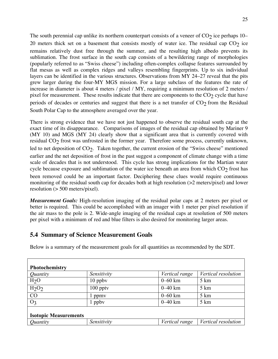The south perennial cap unlike its northern counterpart consists of a veneer of  $CO<sub>2</sub>$  ice perhaps 10– 20 meters thick set on a basement that consists mostly of water ice. The residual cap  $CO<sub>2</sub>$  ice remains relatively dust free through the summer, and the resulting high albedo prevents its sublimation. The frost surface in the south cap consists of a bewildering range of morphologies (popularly referred to as "Swiss cheese") including often-complex collapse features surrounded by flat mesas as well as complex ridges and valleys resembling fingerprints. Up to six individual layers can be identified in the various structures. Observations from MY 24–27 reveal that the pits grew larger during the four-MY MGS mission. For a large subclass of the features the rate of increase in diameter is about 4 meters / pixel / MY, requiring a minimum resolution of 2 meters / pixel for measurement. These results indicate that there are components to the  $CO<sub>2</sub>$  cycle that have periods of decades or centuries and suggest that there is a net transfer of  $CO<sub>2</sub>$  from the Residual South Polar Cap to the atmosphere averaged over the year.

There is strong evidence that we have not just happened to observe the residual south cap at the exact time of its disappearance. Comparisons of images of the residual cap obtained by Mariner 9 (MY 10) and MGS (MY 24) clearly show that a significant area that is currently covered with residual  $CO<sub>2</sub>$  frost was unfrosted in the former year. Therefore some process, currently unknown, led to net deposition of CO<sub>2</sub>. Taken together, the current erosion of the "Swiss cheese" mentioned earlier and the net deposition of frost in the past suggest a component of climate change with a time scale of decades that is not understood. This cycle has strong implications for the Martian water cycle because exposure and sublimation of the water ice beneath an area from which  $CO<sub>2</sub>$  frost has been removed could be an important factor. Deciphering these clues would require continuous monitoring of the residual south cap for decades both at high resolution (>2 meters/pixel) and lower resolution (> 500 meters/pixel).

*Measurement Goals:* High-resolution imaging of the residual polar caps at 2 meters per pixel or better is required. This could be accomplished with an imager with 1 meter per pixel resolution if the air mass to the pole is 2. Wide-angle imaging of the residual caps at resolution of 500 meters per pixel with a minimum of red and blue filters is also desired for monitoring larger areas.

### **5.4 Summary of Science Measurement Goals**

Below is a summary of the measurement goals for all quantities as recommended by the SDT.

| Photochemistry                |             |                |                     |
|-------------------------------|-------------|----------------|---------------------|
| Quantity                      | Sensitivity | Vertical range | Vertical resolution |
| H <sub>2</sub> O              | $10$ ppby   | $0 - 60$ km    | $5 \text{ km}$      |
| H <sub>2</sub> O <sub>2</sub> | $100$ pptv  | $0 - 40$ km    | $5 \mathrm{km}$     |
| CO                            | ppmy        | $0 - 60$ km    | $5 \mathrm{km}$     |
| $O_3$                         | ppby        | $0 - 40$ km    | $5 \mathrm{km}$     |
| <b>Isotopic Measurements</b>  |             |                |                     |
| Quantity                      | Sensitivity | Vertical range | Vertical resolution |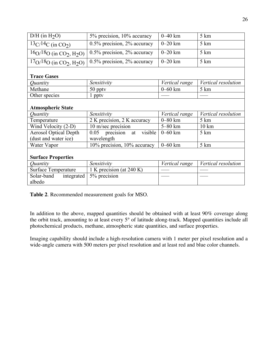| $\overline{D/H}$ (in H <sub>2</sub> O)                        | 5% precision, 10% accuracy        | $0 - 40$ km    | 5 km                |
|---------------------------------------------------------------|-----------------------------------|----------------|---------------------|
| $13C/14C$ (in CO <sub>2</sub> )                               | $0.5\%$ precision, $2\%$ accuracy | $0 - 20$ km    | 5 km                |
| $\overline{16}$ O/18O (in CO <sub>2</sub> , H <sub>2</sub> O) | 0.5% precision, 2% accuracy       | $0 - 20$ km    | 5 km                |
| $17O/18O$ (in CO <sub>2</sub> , H <sub>2</sub> O)             | $0.5\%$ precision, $2\%$ accuracy | $0-20$ km      | 5 km                |
| <b>Trace Gases</b>                                            |                                   |                |                     |
| Quantity                                                      | Sensitivity                       | Vertical range | Vertical resolution |
| Methane                                                       | 50 pptv                           | $0 - 60$ km    | 5 km                |
| Other species                                                 | $1$ pptv                          |                |                     |
| <b>Atmospheric State</b>                                      |                                   |                |                     |
| Quantity                                                      | Sensitivity                       | Vertical range | Vertical resolution |
| Temperature                                                   | 2 K precision, $2 K$ accuracy     | $0 - 80$ km    | 5 km                |
| Wind Velocity (2-D)                                           | 10 m/sec precision                | 5-80 km        | $10 \text{ km}$     |
| <b>Aerosol Optical Depth</b>                                  | $0.05$ precision<br>visible<br>at | $0 - 60$ km    | 5 km                |
| (dust and water ice)                                          | wavelength                        |                |                     |
| Water Vapor                                                   | 10% precision, 10% accuracy       | $0 - 60$ km    | 5 km                |
| <b>Surface Properties</b>                                     |                                   |                |                     |
| Quantity                                                      | Sensitivity                       | Vertical range | Vertical resolution |
| <b>Surface Temperature</b>                                    | 1 K precision (at 240 K)          |                |                     |
| Solar-band<br>integrated<br>albedo                            | 5% precision                      |                |                     |

**Table 2**. Recommended measurement goals for MSO.

In addition to the above, mapped quantities should be obtained with at least 90% coverage along the orbit track, amounting to at least every 5° of latitude along-track. Mapped quantities include all photochemical products, methane, atmospheric state quantities, and surface properties.

Imaging capability should include a high-resolution camera with 1 meter per pixel resolution and a wide-angle camera with 500 meters per pixel resolution and at least red and blue color channels.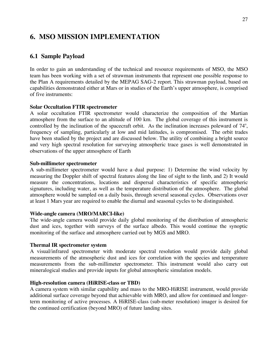### **6. MSO MISSION IMPLEMENTATION**

### **6.1 Sample Payload**

In order to gain an understanding of the technical and resource requirements of MSO, the MSO team has been working with a set of strawman instruments that represent one possible response to the Plan A requirements detailed by the MEPAG SAG-2 report. This strawman payload, based on capabilities demonstrated either at Mars or in studies of the Earth's upper atmosphere, is comprised of five instruments:

#### **Solar Occultation FTIR spectrometer**

A solar occultation FTIR spectrometer would characterize the composition of the Martian atmosphere from the surface to an altitude of 100 km. The global coverage of this instrument is controlled by the inclination of the spacecraft orbit. As the inclination increases poleward of 74°, frequency of sampling, particularly at low and mid latitudes, is compromised. The orbit trades have been studied by the project and are discussed below. The utility of combining a bright source and very high spectral resolution for surveying atmospheric trace gases is well demonstrated in observations of the upper atmosphere of Earth

#### **Sub-millimeter spectrometer**

A sub-millimeter spectrometer would have a dual purpose: 1) Determine the wind velocity by measuring the Doppler shift of spectral features along the line of sight to the limb, and 2) It would measure the concentrations, locations and dispersal characteristics of specific atmospheric signatures, including water, as well as the temperature distribution of the atmosphere. The global atmosphere would be sampled on a daily basis, through several seasonal cycles. Observations over at least 1 Mars year are required to enable the diurnal and seasonal cycles to be distinguished.

#### **Wide-angle camera (MRO/MARCI-like)**

The wide-angle camera would provide daily global monitoring of the distribution of atmospheric dust and ices, together with surveys of the surface albedo. This would continue the synoptic monitoring of the surface and atmosphere carried out by MGS and MRO.

#### **Thermal IR spectrometer system**

A visual/infrared spectrometer with moderate spectral resolution would provide daily global measurements of the atmospheric dust and ices for correlation with the species and temperature measurements from the sub-millimeter spectrometer. This instrument would also carry out mineralogical studies and provide inputs for global atmospheric simulation models.

#### **High-resolution camera (HiRISE-class or TBD)**

A camera system with similar capability and mass to the MRO-HiRISE instrument, would provide additional surface coverage beyond that achievable with MRO, and allow for continued and longerterm monitoring of active processes. A HiRISE-class (sub-meter resolution) imager is desired for the continued certification (beyond MRO) of future landing sites.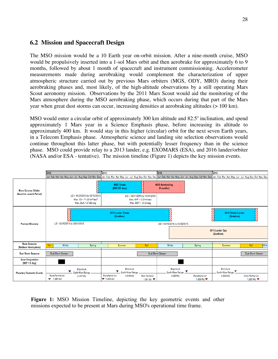### **6.2 Mission and Spacecraft Design**

The MSO mission would be a 10 Earth year on-orbit mission. After a nine-month cruise, MSO would be propulsively inserted into a 1-sol Mars orbit and then aerobrake for approximately 6 to 9 months, followed by about 1 month of spacecraft and instrument commissioning. Accelerometer measurements made during aerobraking would complement the characterization of upper atmospheric structure carried out by previous Mars orbiters (MGS, ODY, MRO) during their aerobraking phases and, most likely, of the high-altitude observations by a still operating Mars Scout aeronomy mission. Observations by the 2011 Mars Scout would aid the monitoring of the Mars atmosphere during the MSO aerobraking phase, which occurs during that part of the Mars year when great dust storms can occur, increasing densities at aerobraking altitudes (> 100 km).

MSO would enter a circular orbit of approximately 300 km altitude and  $82.5^\circ$  inclination, and spend approximately 1 Mars year in a Science Emphasis phase, before increasing its altitude to approximately 400 km. It would stay in this higher (circular) orbit for the next seven Earth years, in a Telecom Emphasis phase. Atmospheric science and landing site selection observations would continue throughout this latter phase, but with potentially lesser frequency than in the science phase. MSO could provide relay to a 2013 lander, e.g. EXOMARS (ESA), and 2016 lander/orbiter (NASA and/or ESA - tentative). The mission timeline (Figure 1) depicts the key mission events.



**Figure 1:** MSO Mission Timeline, depicting the key geometric events and other missions expected to be present at Mars during MSO's operational time frame.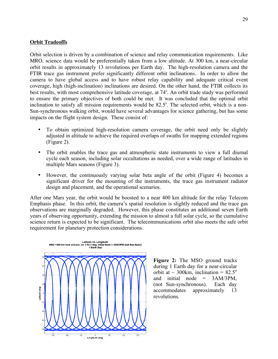#### **Orbit Tradeoffs**

Orbit selection is driven by a combination of science and relay communication requirements. Like MRO, science data would be preferentially taken from a low altitude. At 300 km, a near-circular orbit results in approximately 13 revolutions per Earth day. The high-resolution camera and the FTIR trace gas instrument prefer significantly different orbit inclinations. In order to allow the camera to have global access and to have robust relay capability and adequate critical event coverage, high (high-inclination) inclinations are desired. On the other hand, the FTIR collects its best results, with most comprehensive latitude coverage, at 74°. An orbit trade study was performed to ensure the primary objectives of both could be met. It was concluded that the optimal orbit inclination to satisfy all mission requirements would be 82.5°. The selected orbit, which is a non-Sun-synchronous walking orbit, would have several advantages for science gathering, but has some impacts on the flight system design. These consist of:

- To obtain optimized high-resolution camera coverage, the orbit need only be slightly adjusted in altitude to achieve the required overlaps of swaths for mapping extended regions (Figure 2).
- The orbit enables the trace gas and atmospheric state instruments to view a full diurnal cycle each season, including solar occultations as needed, over a wide range of latitudes in multiple Mars seasons (Figure 3).
- However, the continuously varying solar beta angle of the orbit (Figure 4) becomes a significant driver for the mounting of the instruments, the trace gas instrument radiator design and placement, and the operational scenarios.

After one Mars year, the orbit would be boosted to a near 400 km altitude for the relay Telecom Emphasis phase. In this orbit, the camera's spatial resolution is slightly reduced and the trace gas observations are marginally degraded. However, this phase constitutes an additional seven Earth years of observing opportunity, extending the mission to almost a full solar cycle, so the cumulative science return is expected to be significant. The telecommunications orbit also meets the safe orbit requirement for planetary protection considerations.



**Figure 2:** The MSO ground tracks during 1 Earth day for a near-circular orbit at  $\sim$  300km, inclination = 82.5<sup>o</sup> and initial node  $= 3AM/3PM$ , (not Sun-synchronous). Each day accommodates approximately 13 revolutions.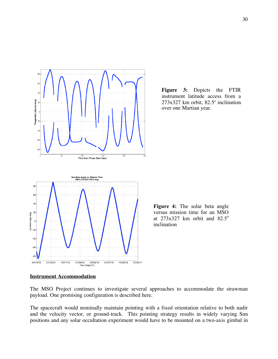

**Figure 3:** Depicts the FTIR instrument latitude access from a  $273x327$  km orbit,  $82.5^\circ$  inclination over one Martian year.

**Figure 4:** The solar beta angle versus mission time for an MSO at  $273x327$  km orbit and  $82.5^\circ$ inclination

#### **Instrument Accommodation**

The MSO Project continues to investigate several approaches to accommodate the strawman payload. One promising configuration is described here.

The spacecraft would nominally maintain pointing with a fixed orientation relative to both nadir and the velocity vector, or ground-track. This pointing strategy results in widely varying Sun positions and any solar occultation experiment would have to be mounted on a two-axis gimbal in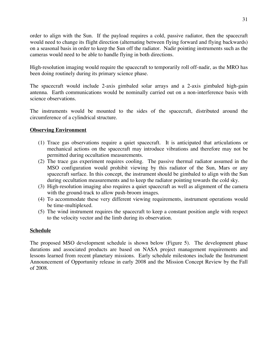order to align with the Sun. If the payload requires a cold, passive radiator, then the spacecraft would need to change its flight direction (alternating between flying forward and flying backwards) on a seasonal basis in order to keep the Sun off the radiator. Nadir pointing instruments such as the cameras would need to be able to handle flying in both directions.

High-resolution imaging would require the spacecraft to temporarily roll off-nadir, as the MRO has been doing routinely during its primary science phase.

The spacecraft would include 2-axis gimbaled solar arrays and a 2-axis gimbaled high-gain antenna. Earth communications would be nominally carried out on a non-interference basis with science observations.

The instruments would be mounted to the sides of the spacecraft, distributed around the circumference of a cylindrical structure.

### **Observing Environment**

- (1) Trace gas observations require a quiet spacecraft. It is anticipated that articulations or mechanical actions on the spacecraft may introduce vibrations and therefore may not be permitted during occultation measurements.
- (2) The trace gas experiment requires cooling. The passive thermal radiator assumed in the MSO configuration would prohibit viewing by this radiator of the Sun, Mars or any spacecraft surface. In this concept, the instrument should be gimbaled to align with the Sun during occultation measurements and to keep the radiator pointing towards the cold sky.
- (3) High-resolution imaging also requires a quiet spacecraft as well as alignment of the camera with the ground-track to allow push-broom images.
- (4) To accommodate these very different viewing requirements, instrument operations would be time-multiplexed.
- (5) The wind instrument requires the spacecraft to keep a constant position angle with respect to the velocity vector and the limb during its observation.

### **Schedule**

The proposed MSO development schedule is shown below (Figure 5). The development phase durations and associated products are based on NASA project management requirements and lessons learned from recent planetary missions. Early schedule milestones include the Instrument Announcement of Opportunity release in early 2008 and the Mission Concept Review by the Fall of 2008.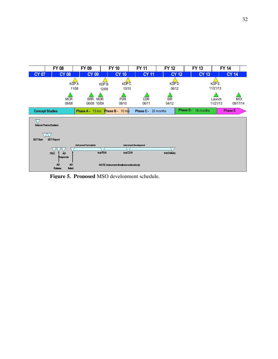

**Figure 5. Proposed** MSO development schedule.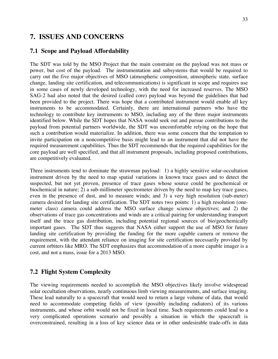### **7. ISSUES AND CONCERNS**

### **7.1 Scope and Payload Affordability**

The SDT was told by the MSO Project that the main constraint on the payload was not mass or power, but cost of the payload. The instrumentation and subsystems that would be required to carry out the five major objectives of MSO (atmospheric composition, atmospheric state, surface change, landing site certification, and telecommunications) is significant in scope and requires use in some cases of newly developed technology, with the need for increased reserves. The MSO SAG-2 had also noted that the desired (called core) payload was beyond the guidelines that had been provided to the project. There was hope that a contributed instrument would enable all key instruments to be accommodated. Certainly, there are international partners who have the technology to contribute key instruments to MSO, including any of the three major instruments identified below. While the SDT hopes that NASA would seek out and pursue contributions to the payload from potential partners worldwide, the SDT was uncomfortable relying on the hope that such a contribution would materialize. In addition, there was some concern that the temptation to invite participation on a noncompetitive basis might lead to an instrument that did not have the required measurement capabilities. Thus the SDT recommends that the required capabilities for the core payload are well specified, and that all instrument proposals, including proposed contributions, are competitively evaluated.

Three instruments tend to dominate the strawman payload: 1) a highly sensitive solar-occultation instrument driven by the need to map spatial variations in known trace gases and to detect the suspected, but not yet proven, presence of trace gases whose source could be geochemical or biochemical in nature; 2) a sub-millimeter spectrometer driven by the need to map key trace gases, even in the presence of dust, and to measure winds; and 3) a very high resolution (sub-meter) camera desired for landing site certification. The SDT notes two points: 1) a high resolution (onemeter class) camera could address the MSO surface change science objectives; and 2) the observations of trace gas concentrations and winds are a critical pairing for understanding transport itself and the trace gas distribution, including potential regional sources of bio/geochemically important gases. The SDT thus suggests that NASA either support the use of MSO for future landing site certification by providing the funding for the more capable camera or remove the requirement, with the attendant reliance on imaging for site certification necessarily provided by current orbiters like MRO. The SDT emphasizes that accommodation of a more capable imager is a cost, and not a mass, issue for a 2013 MSO.

### **7.2 Flight System Complexity**

The viewing requirements needed to accomplish the MSO objectives likely involve widespread solar occultation observations, nearly continuous limb viewing measurements, and surface imaging. These lead naturally to a spacecraft that would need to return a large volume of data, that would need to accommodate competing fields of view (possibly including radiators) of its various instruments, and whose orbit would not be fixed in local time. Such requirements could lead to a very complicated operations scenario and possibly a situation in which the spacecraft is overconstrained, resulting in a loss of key science data or in other undesirable trade-offs in data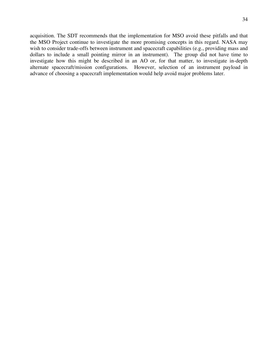acquisition. The SDT recommends that the implementation for MSO avoid these pitfalls and that the MSO Project continue to investigate the more promising concepts in this regard. NASA may wish to consider trade-offs between instrument and spacecraft capabilities (e.g., providing mass and dollars to include a small pointing mirror in an instrument). The group did not have time to investigate how this might be described in an AO or, for that matter, to investigate in-depth alternate spacecraft/mission configurations. However, selection of an instrument payload in advance of choosing a spacecraft implementation would help avoid major problems later.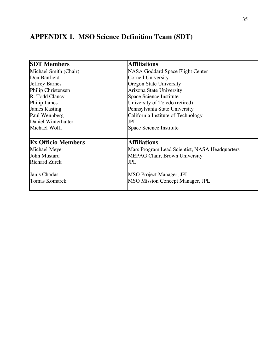## **APPENDIX 1. MSO Science Definition Team (SDT)**

| <b>SDT Members</b>        | <b>Affiliations</b>                            |
|---------------------------|------------------------------------------------|
| Michael Smith (Chair)     | <b>NASA Goddard Space Flight Center</b>        |
| Don Banfield              | <b>Cornell University</b>                      |
| <b>Jeffrey Barnes</b>     | Oregon State University                        |
| Philip Christensen        | Arizona State University                       |
| R. Todd Clancy            | Space Science Institute                        |
| Philip James              | University of Toledo (retired)                 |
| <b>James Kasting</b>      | Pennsylvania State University                  |
| Paul Wennberg             | California Institute of Technology             |
| Daniel Winterhalter       | <b>JPL</b>                                     |
| Michael Wolff             | Space Science Institute                        |
|                           |                                                |
| <b>Ex Officio Members</b> | <b>Affiliations</b>                            |
| Michael Meyer             | Mars Program Lead Scientist, NASA Headquarters |
| John Mustard              | <b>MEPAG Chair, Brown University</b>           |
| <b>Richard Zurek</b>      | <b>JPL</b>                                     |
| Janis Chodas              | <b>MSO Project Manager, JPL</b>                |
| <b>Tomas Komarek</b>      | <b>MSO Mission Concept Manager, JPL</b>        |
|                           |                                                |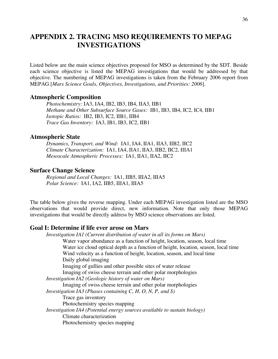### **APPENDIX 2. TRACING MSO REQUIREMENTS TO MEPAG INVESTIGATIONS**

Listed below are the main science objectives proposed for MSO as determined by the SDT. Beside each science objective is listed the MEPAG investigations that would be addressed by that objective. The numbering of MEPAG investigations is taken from the February 2006 report from MEPAG [*Mars Science Goals, Objectives, Investigations, and Priorities: 2006*].

#### **Atmospheric Composition**

*Photochemistry:* IA3, IA4, IB2, IB3, IB4, IIA3, IIB1 *Methane and Other Subsurface Source Gases:* IB1, IB3, IB4, IC2, IC4, IIB1 *Isotopic Ratios:* IB2, IB3, IC2, IIB1, IIB4 *Trace Gas Inventory:* IA3, IB1, IB3, IC2, IIB1

### **Atmospheric State**

*Dynamics, Transport, and Wind:* IA1, IA4, IIA1, IIA3, IIB2, IIC2 *Climate Characterization:* IA1, IA4, IIA1, IIA3, IIB2, IIC2, IIIA1 *Mesoscale Atmospheric Processes:* IA1, IIA1, IIA2, IIC2

#### **Surface Change Science**

*Regional and Local Changes:* IA1, IIB5, IIIA2, IIIA5 *Polar Science:* IA1, IA2, IIB5, IIIA1, IIIA5

The table below gives the reverse mapping. Under each MEPAG investigation listed are the MSO observations that would provide direct, new information. Note that only those MEPAG investigations that would be directly address by MSO science observations are listed.

### **Goal I: Determine if life ever arose on Mars**

*Investigation IA1 (Current distribution of water in all its forms on Mars)* Water vapor abundance as a function of height, location, season, local time Water ice cloud optical depth as a function of height, location, season, local time Wind velocity as a function of height, location, season, and local time Daily global imaging Imaging of gullies and other possible sites of water release Imaging of swiss cheese terrain and other polar morphologies *Investigation IA2 (Geologic history of water on Mars)* Imaging of swiss cheese terrain and other polar morphologies *Investigation IA3 (Phases containing C, H, O, N, P, and S)* Trace gas inventory Photochemistry species mapping *Investigation IA4 (Potential energy sources available to sustain biology)* Climate characterization Photochemistry species mapping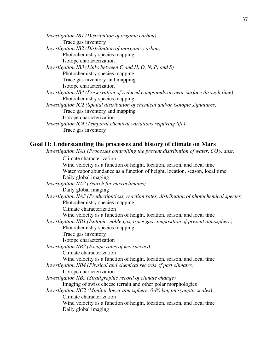*Investigation IB1 (Distribution of organic carbon)* Trace gas inventory *Investigation IB2 (Distribution of inorganic carbon)* Photochemistry species mapping Isotope characterization *Investigation IB3 (Links between C and H, O, N, P, and S)* Photochemistry species mapping Trace gas inventory and mapping Isotope characterization *Investigation IB4 (Preservation of reduced compounds on near-surface through time)* Photochemistry species mapping *Investigation IC2 (Spatial distribution of chemical and/or isotopic signatures)* Trace gas inventory and mapping Isotope characterization *Investigation IC4 (Temporal chemical variations requiring life)* Trace gas inventory

### **Goal II: Understanding the processes and history of climate on Mars**

*Investigation IIA1 (Processes controlling the present distribution of water, CO2, dust)*

Climate characterization Wind velocity as a function of height, location, season, and local time Water vapor abundance as a function of height, location, season, local time Daily global imaging *Investigation IIA2 (Search for microclimates)* Daily global imaging *Investigation IIA3 (Production/loss, reaction rates, distribution of photochemical species)* Photochemistry species mapping Climate characterization Wind velocity as a function of height, location, season, and local time *Investigation IIB1 (Isotopic, noble gas, trace gas composition of present atmosphere)* Photochemistry species mapping Trace gas inventory Isotope characterization *Investigation IIB2 (Escape rates of key species)* Climate characterization Wind velocity as a function of height, location, season, and local time *Investigation IIB4 (Physical and chemical records of past climates)* Isotope characterization *Investigation IIB5 (Stratigraphic record of climate change)* Imaging of swiss cheese terrain and other polar morphologies *Investigation IIC2 (Monitor lower atmosphere, 0-80 km, on synoptic scales)* Climate characterization Wind velocity as a function of height, location, season, and local time Daily global imaging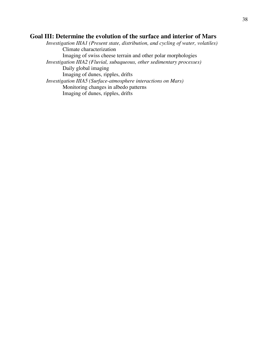### **Goal III: Determine the evolution of the surface and interior of Mars**

*Investigation IIIA1 (Present state, distribution, and cycling of water, volatiles)* Climate characterization Imaging of swiss cheese terrain and other polar morphologies *Investigation IIIA2 (Fluvial, subaqueous, other sedimentary processes)* Daily global imaging Imaging of dunes, ripples, drifts *Investigation IIIA5 (Surface-atmosphere interactions on Mars)* Monitoring changes in albedo patterns Imaging of dunes, ripples, drifts